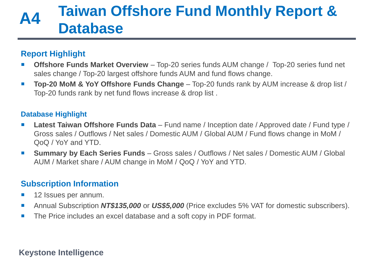# **Taiwan Offshore Fund Monthly Report & Database A4**

## **Report Highlight**

- **Offshore Funds Market Overview** Top-20 series funds AUM change / Top-20 series fund net sales change / Top-20 largest offshore funds AUM and fund flows change.
- **Top-20 MoM & YoY Offshore Funds Change** Top-20 funds rank by AUM increase & drop list / Top-20 funds rank by net fund flows increase & drop list .

## **Database Highlight**

- Latest Taiwan Offshore Funds Data Fund name / Inception date / Approved date / Fund type / Gross sales / Outflows / Net sales / Domestic AUM / Global AUM / Fund flows change in MoM / QoQ / YoY and YTD.
- **Summary by Each Series Funds** Gross sales / Outflows / Net sales / Domestic AUM / Global AUM / Market share / AUM change in MoM / QoQ / YoY and YTD.

## **Subscription Information**

- **12 Issues per annum.**
- Annual Subscription NT\$135,000 or US\$5,000 (Price excludes 5% VAT for domestic subscribers).
- The Price includes an excel database and a soft copy in PDF format.

## **Keystone Intelligence** *03/2020 Taiwan Institutional Investment in Funds Monthly Update* **0**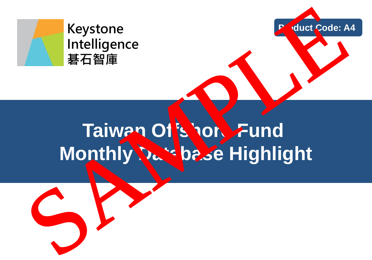

## **Keystone Intelligence 碁石智庫**

# **Taiwan Offshore Fund<br>Monthly Design Highlight Module Highlight Product Lode: A4**<br>
Intelligence<br>
著石智庫<br> **Product Lode: A4**<br>
Taiwan Of Loop<br>
Product Lode: A4<br>
Product Lode: A4<br>
Product Lode: A4<br>
Product Lode: A4<br>
Product Lode: A4<br>
Product Lode: A4<br>
Product Lode: A4<br>
Product Lode: A4<br>
P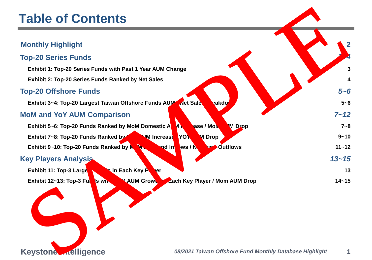# **Keyston 11. The Iligence 1 12. Integral of the** *08/2021 Taiwan Offshore Fund Monthly Database Highlight* **1 Monthly Highlight 2 Top-20 Series Funds** *3~4* **Exhibit 1: Top-20 Series Funds with Past 1 Year AUM Change 3 Exhibit 2: Top-20 Series Funds Ranked by Net Sales 4 Top-20 Offshore Funds** *5~6* **Exhibit 3~4: Top-20 Largest Taiwan Offshore Funds AUM / Net Sales Breakdown 5~6 MoM and YoY AUM Comparison** *7~12* **Exhibit 5~6: Top-20 Funds Ranked by MoM Domestic AUM and August 2.6 MoM AUM Drop 7~8 Exhibit 7~8: Top-20 Funds Ranked by YoU AUM Increase / YOY AUM Drop 9-10 Exhibit 9~10: Top-20 Funds Ranked by Moment Common Inflows / Net Fund Outflows 11~12 Key Players Analysis** *13~15* **Exhibit 11: Top-3 Larges Funds in Each Key Player Funds in Each Act 2018 13 Exhibit 12~13: Top-3 Funds with MOM AUM Growthan Each Key Player / Mom AUM Drop 14~15 Table of Contents**<br>
Monthly Highlight<br>
Top-20 Series Funds<br>
Exhibit : Top-20 Series Funds Numerials and the principal state with Past Year AIM Change<br>
Top-20 Offshore Funds<br>
Exhibit : 3-t, Top-20 Ends Ranked by Not Sales<br>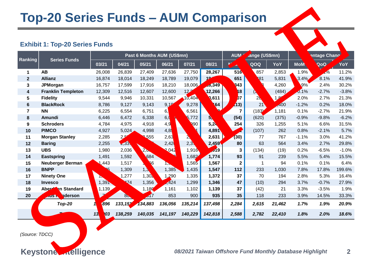## **Top-20 Series Funds – AUM Comparison**

## **Exhibit 1: Top-20 Series Funds**

|                |                            | <b>Exhibit 1: Top-20 Series Funds</b> |              |                            |                |         |         |                 |                |        |            |                           |         |
|----------------|----------------------------|---------------------------------------|--------------|----------------------------|----------------|---------|---------|-----------------|----------------|--------|------------|---------------------------|---------|
| Ranking        | <b>Series Funds</b>        |                                       |              | Past 6 Months AUM (US\$mn) |                |         |         | <b>AUM</b>      | nange (US\$mn) |        |            | <mark>entage Chanc</mark> |         |
|                |                            | 03/21                                 | 04/21        | 05/21                      | 06/21          | 07/21   | 08/21   |                 | QOQ            | YoY    | <b>MoN</b> | QoQ                       | YoY     |
| 1              | <b>AB</b>                  | 26,008                                | 26,839       | 27,409                     | 27,636         | 27,750  | 28,267  | 51 <sub>b</sub> | 857            | 2,853  | 1.9%       | $\frac{1}{2}$             | 11.2%   |
| $\mathbf{2}$   | <b>Allianz</b>             | 16,874                                | 18,014       | 18,249                     | 18,789         | 19,079  |         | 651             | 181            | 5,831  | 4%         | 8.1%                      | 41.9%   |
| 3              | <b>JPMorgan</b>            | 16,757                                | 17,599       | 17,916                     | 18,210         | 18,006  | 18,349  | 43              | Ŕ              | 4,260  | 9%         | 2.4%                      | 30.2%   |
| 4              | <b>Franklin Templeton</b>  | 12,309                                | 12,516       | 12,607                     | 12,600         | 12      | 12,266  | 18              |                | (484)  | 0.1%       | $-2.7%$                   | $-3.8%$ |
| 5              | <b>Fidelity</b>            | 9,544                                 | 9,946        | 10,331                     | 10,567         | 10,404  | 0,611   | 207             | $\mathbf{z}$   | 1.8    | 2.0%       | 2.7%                      | 21.3%   |
| 6              | <b>BlackRock</b>           | 8,786                                 | 9,127        | 9,143                      | 9 <sub>1</sub> | 9,278   | 164     | (113)           | 2 <sub>1</sub> | ,400   | $-1.2%$    | 0.2%                      | 18.0%   |
| $\overline{7}$ | <b>NN</b>                  | 6,225                                 | 6,554        | 6,751                      | $6\sqrt{ }$    | 6,561   |         | $\overline{7}$  | (183)          | 1,181  | 0.1%       | $-2.7%$                   | 21.9%   |
| 8              | Amundi                     | 6,446                                 | 6,472        | 6,338                      | 6,             | 5,772   |         | (54)            | (620)          | (375)  | $-0.9%$    | $-9.8%$                   | $-6.2%$ |
| 9              | <b>Schroders</b>           | 4,784                                 | 4,975        | 4,918                      | 4,9            | 90      | 5,2     | 254             | 326            | 1,255  | 5.1%       | 6.6%                      | 31.5%   |
| 10             | <b>PIMCO</b>               | 4,927                                 | 5,024        | 4,998                      | 4,8            |         | 4,891   |                 | (107)          | 262    | 0.8%       | $-2.1%$                   | 5.7%    |
| 11             | <b>Morgan Stanley</b>      | 2,285                                 | $\mathbf{z}$ | 2,555                      | 2,63           | A       | 2,631   | (30)            | 77             | 767    | $-1.1%$    | 3.0%                      | 41.2%   |
| 12             | <b>Baring</b>              | 2,255                                 | 2,33         |                            | 2,42           | 2,3     | 2,459   | 80              | 63             | 564    | 3.4%       | 2.7%                      | 29.8%   |
| 13             | <b>UBS</b>                 | 1,980                                 | 2,036        | Ł,                         | 2,042          | 1,916   | J19     | 3               | (134)          | (19)   | 0.2%       | $-6.5%$                   | $-1.0%$ |
| 14             | <b>Eastspring</b>          | 1,491                                 | 1,592        | ,684                       |                | 1,682   | 1,774   | 93              | 91             | 239    | 5.5%       | 5.4%                      | 15.5%   |
| 15             | <b>Neuberger Berman</b>    | 1,443                                 | 1,517        | 66                         | T,             | 1,565   | 1,567   | $\mathbf{2}$    | $\mathbf 1$    | 94     | 0.1%       | 0.1%                      | 6.4%    |
| 16             | <b>BNPP</b>                | 195                                   | 1,309        | 1 <sub>k</sub>             | 1,385          | 1,435   | 1,547   | 112             | 233            | 1,030  | 7.8%       | 17.8%                     | 199.6%  |
| 17             | <b>Ninety One</b>          |                                       | 1,277        | 1,30                       | 1,290          | 1,335   | 1,372   | 37              | 70             | 194    | 2.8%       | 5.3%                      | 16.4%   |
| 18             | <b>Invesco</b>             | 1,39.                                 | 174          | 1,356                      | ,424           | 1,299   | 1,346   | 47              | (10)           | 294    | 3.7%       | $-0.7%$                   | 27.9%   |
| 19             | <b>Aber</b><br>en Standard | 1,139                                 |              | 1,180                      | 1,161          | 1,102   | 1,139   | 37              | (42)           | 21     | 3.3%       | $-3.5%$                   | 1.9%    |
| 20             | nderson                    | 72                                    | $80 -$       | $\sqrt{17}$                | 853            | 900     | 935     | 35              | 118            | 233    | 3.9%       | 14.5%                     | 33.3%   |
|                | <b>Top-20</b>              | ,896<br>1                             | 133,151      | 134,883                    | 136,056        | 135,214 | 137,498 | 2,284           | 2,615          | 21,462 | 1.7%       | 1.9%                      | 20.9%   |
|                | المهمى                     | 13<br>$\overline{)}03$                | 138,259      | 140,035                    | 141,197        | 140,229 | 142,818 | 2,588           | 2,782          | 22,410 | 1.8%       | 2.0%                      | 18.6%   |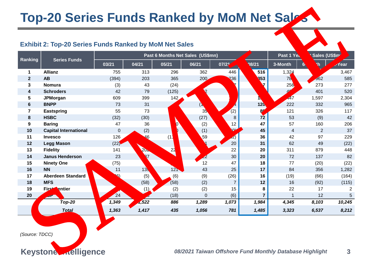# **Top-20 Series Funds Ranked by MoM Net Sales**

#### **Exhibit 2: Top-20 Series Funds Ranked by MoM Net Sales**

|                                  | <b>Top-20 Series Funds Ranked by MoM Net Sales</b>            |       |                 |                                  |                |                   |                 |                                                         |              |              |
|----------------------------------|---------------------------------------------------------------|-------|-----------------|----------------------------------|----------------|-------------------|-----------------|---------------------------------------------------------|--------------|--------------|
|                                  | <b>Exhibit 2: Top-20 Series Funds Ranked by MoM Net Sales</b> |       |                 |                                  |                |                   |                 |                                                         |              |              |
| Ranking                          | <b>Series Funds</b>                                           |       |                 | Past 6 Months Net Sales (US\$mn) |                |                   |                 | Past 1 Ye                                               | Sales (US\$m |              |
|                                  |                                                               | 03/21 | 04/21           | 05/21                            | 06/21          | 07/2 <sup>4</sup> | 08/21           | 3-Month                                                 | $\mathbf{h}$ | -Year        |
| $\mathbf 1$                      | <b>Allianz</b>                                                | 755   | 313             | 296                              | 362            | 446               | 516             | 1,324                                                   |              | 3,467        |
| $\mathbf{2}$                     | <b>AB</b>                                                     | (394) | 203             | 365                              | $200 -$        | 86                | 353             | 789                                                     | 562          | 585          |
| 3                                | <b>Nomura</b>                                                 | (3)   | 43              | (24)                             |                |                   | $\overline{7}$  | 256                                                     | 273          | 277          |
| 4                                | <b>Schroders</b>                                              | 42    | 79              | (125)                            | $\overline{2}$ |                   |                 | 40                                                      | 401          | 520          |
| 5                                | <b>JPMorgan</b>                                               | 609   | 399             | 142                              |                |                   |                 | <b>447</b>                                              | 1,597        | 2,304        |
| 6                                | <b>BNPP</b>                                                   | 73    | 31              |                                  |                | 14                | 12 <sub>k</sub> | 222                                                     | 332          | 965          |
| 7                                | <b>Eastspring</b>                                             | 55    | 73              |                                  | 3.             | (2)               | 8 <sup>q</sup>  | 121                                                     | 326          | 117          |
| 8                                | <b>HSBC</b>                                                   | (32)  | (30)            |                                  | (27)           | 8                 | $\frac{1}{2}$   | 53                                                      | (9)          | 42           |
| 9                                | <b>Baring</b>                                                 | 47    | 36              | $\boldsymbol{v}$                 | (2)            | 12                | 47              | 57                                                      | 160          | 206          |
| 10                               | <b>Capital International</b>                                  | 0     | (2)             | h                                | (1)            | بنما              | 45              | $\overline{4}$                                          | 2            | 37           |
| 11                               | Invesco                                                       | 126   | 46              | (1)                              | 59             | $\mathbf{z})$     | 36              | 42                                                      | 97           | 229          |
| 12                               | <b>Legg Mason</b>                                             | (22)  |                 |                                  |                | 20                | 31              | 62                                                      | 49           | (22)         |
| 13                               | <b>Fidelity</b>                                               | 141   | <b>PACK</b>     | $\overline{a}$                   |                | 22                | 20              | 311                                                     | 879          | 448          |
| 14                               | <b>Janus Henderson</b>                                        | 23    | 37              |                                  | 2              | 30                | 20              | 72                                                      | 137          | 82           |
| 15                               | <b>Ninety One</b>                                             | (75)  |                 |                                  | 12             | 47                | 18              | 77                                                      | (20)         | (22)         |
| 16                               | <b>NN</b>                                                     | 11    | 13 <sub>1</sub> | 12 <sub>1</sub>                  | 43             | 25                | 17              | 84                                                      | 356          | 1,282        |
| 17                               | <b>Aberdeen Standard</b>                                      | 26)   | (5)             | (6)                              | (9)            | (26)              | 16              | (19)                                                    | (66)         | (164)        |
| 18                               | <b>MFS</b>                                                    |       | (58)            | (58)                             | (2)            | $\overline{7}$    | 12              | 16                                                      | (92)         | (115)        |
| 19                               | <b>Firs</b> Sentier                                           |       | (1)             | (2)                              | (2)            | 15                | 8               | 22                                                      | 17           | 2            |
| 20                               |                                                               | 24    |                 | (18)                             | 0              | (6)               | $\overline{7}$  | 1                                                       | 12           |              |
|                                  | $Dp-20$                                                       | 1,349 | ,522            | 886                              | 1,289          | 1,073             | 1,984           | 4,345                                                   | 8,103        | 10,245       |
|                                  | Total                                                         | 1,363 | 1,417           | 435                              | 1,056          | 781               | 1,485           | 3,323                                                   | 6,537        | 8,212        |
| (Source: TDCC)<br><b>Keyston</b> | ntelligence                                                   |       |                 |                                  |                |                   |                 | 08/2021 Taiwan Offshore Fund Monthly Database Highlight |              | $\mathbf{3}$ |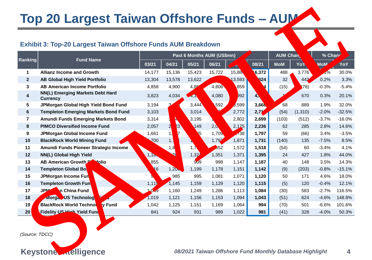# **Top 20 Largest Taiwan Offshore Funds – AUM**

## **Exhibit 3: Top-20 Largest Taiwan Offshore Funds AUM Breakdown**

|                                                                      | Top 20 Largest Taiwan Offshore Funds - AUM          |                            |              |              |                |              |                                                         |                  |          |            |          |
|----------------------------------------------------------------------|-----------------------------------------------------|----------------------------|--------------|--------------|----------------|--------------|---------------------------------------------------------|------------------|----------|------------|----------|
| <b>Exhibit 3: Top-20 Largest Taiwan Offshore Funds AUM Breakdown</b> |                                                     |                            |              |              |                |              |                                                         |                  |          |            |          |
| Ranking                                                              | <b>Fund Name</b>                                    | Past 6 Months AUM (US\$mn) |              |              |                |              |                                                         | <b>AUM Chai.</b> |          | % Chan     |          |
|                                                                      |                                                     | 03/21                      | 04/21        | 05/21        | 06/21          |              | 08/21                                                   | <b>MoM</b>       | Yo'      | <b>MoM</b> | YoY      |
| $\mathbf 1$                                                          | <b>Allianz Income and Growth</b>                    | 14,177                     | 15,136       | 15,423       | 15,722         | 15,86        | 16,372                                                  | 488              | 3,776    | 1%         | 30.0%    |
| $\overline{2}$                                                       | <b>AB Global High Yield Portfolio</b>               | 13,304                     | 13,578       | 13,622       |                | <b>8,593</b> | 624                                                     | 32               | 442      | 0.2%       | 3.3%     |
| 3                                                                    | <b>AB American Income Portfolio</b>                 | 4,858                      | 4,900        | 4,8          | 4,806          | 859          | $\overline{\mathbf{A}}$                                 | (15)             | 78)      | $-0.3%$    | $-5.4%$  |
| 4                                                                    | NN(L) Emerging Markets Debt Hard<br><b>Currency</b> | 3,823                      | 4,034        | 47.          | 4,080          | 992          | 4,                                                      |                  | 670      | 0.3%       | 20.1%    |
| 5                                                                    | JPMorgan Global High Yield Bond Fund                | 3,194                      |              | 3,444        | .592           | 3,599        | 3,66                                                    | 68               | 889      | 1.9%       | 32.0%    |
| $6\phantom{1}$                                                       | <b>Templeton Emerging Markets Bond Fund</b>         | 3,103                      |              | 3,014        |                | 2,772        | 2,71                                                    | (54)             | (1, 310) | $-2.0%$    | $-32.5%$ |
| $\overline{\mathbf{r}}$                                              | <b>Amundi Funds Emerging Markets Bond</b>           | 3,314                      | 23           | 3,195        |                | 2,802        | 2,699                                                   | (103)            | (512)    | $-3.7%$    | $-16.0%$ |
| 8                                                                    | <b>PIMCO Diversified Income Fund</b>                | 2,057                      |              | 149          | 2 <sub>1</sub> | 2,175        | 2,236                                                   | 62               | 285      | 2.8%       | 14.6%    |
| 9                                                                    | JPMorgan Global Income Fund                         | 1,661                      | 1)           | 35           | 1,70           | $\sqrt{38}$  | 1,797                                                   | 59               | (66)     | 3.4%       | $-3.5%$  |
| 10                                                                   | <b>BlackRock World Mining Fund</b>                  | Z <sub>00</sub>            | 1,           |              | 1,792          | 1,871        | 1,731                                                   | (140)            | 135      | $-7.5%$    | 8.5%     |
| 11                                                                   | Amundi Funds Pioneer Strategic Income               |                            | 1,8          | $1, \lambda$ | 352            | 1,572        | 1,518                                                   | (54)             | 60       | $-3.4%$    | 4.1%     |
| 12                                                                   | NN(L) Global High Yield                             | 1,1                        | $\mathbf{Q}$ | 1,32         | 1,351          | 1,371        | 1,395                                                   | 24               | 427      | 1.8%       | 44.0%    |
| 13                                                                   | AB American Growth <b>Activation</b>                | 855                        |              | 909          | 998            | 1,147        | 1,187                                                   | 40               | 148      | 3.5%       | 14.3%    |
| 14                                                                   | <b>Templeton Global Bon</b>                         | 16                         | 1,20         | 1,199        | 1,178          | 1,151        | 1,142                                                   | (9)              | (203)    | $-0.8%$    | $-15.1%$ |
| 15                                                                   | JPMorgan Income Fund                                |                            | 985          | 995          | 1,081          | 1,071        | 1,120                                                   | 50               | 171      | 4.6%       | 18.0%    |
| 16                                                                   | <b>Templeton Growth Fund</b>                        | 1,11                       | 1,145        | 1,159        | 1,129          | 1,120        | 1,115                                                   | (5)              | 120      | $-0.4%$    | 12.1%    |
| 17                                                                   | <b>JPM</b><br>an China Fund                         | $\mathcal{A}9$             | 1,160        | 1,249        | 1,286          | 1,113        | 1,084                                                   | (30)             | 583      | $-2.7%$    | 116.5%   |
| 18                                                                   | <b>HINOrg US Technology</b><br>T                    | 1,019                      | 1,121        | 1,156        | 1,153          | 1,094        | 1,043                                                   | (51)             | 624      | $-4.6%$    | 148.8%   |
| 19                                                                   | <b>BlackRock World Technol</b><br><b>y</b> Fund     | 1,042                      | 1,125        | 1,151        | 1,169          | 1,064        | 994                                                     | (70)             | 501      | $-6.6%$    | 101.6%   |
| 20 <sup>1</sup>                                                      | <b>Fidelity US High Yield Fund</b>                  | 841                        | 924          | 931          | 989            | 1,022        | 981                                                     | (41)             | 328      | $-4.0%$    | 50.3%    |
| (Source: TDCC)                                                       |                                                     |                            |              |              |                |              |                                                         |                  |          |            |          |
| <b>Keyston</b>                                                       | ntelligence                                         |                            |              |              |                |              | 08/2021 Taiwan Offshore Fund Monthly Database Highlight |                  |          |            | 4        |

**Keyston Intelligence** *08/2021 Taiwan Offshore Fund Monthly Database Highlight* 4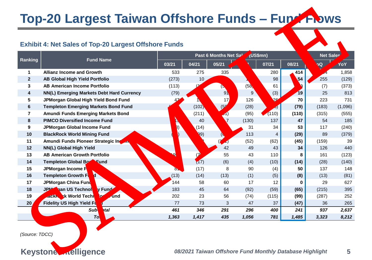# **Top-20 Largest Taiwan Offshore Funds – Fund Flows**

## **Exhibit 4: Net Sales of Top-20 Largest Offshore Funds**

|                | <b>Top-20 Largest Taiwan Offshore Funds - Fup &amp; Flows</b>                                                      |          |                 |                       |           |                |          |                  |         |  |  |
|----------------|--------------------------------------------------------------------------------------------------------------------|----------|-----------------|-----------------------|-----------|----------------|----------|------------------|---------|--|--|
|                | <b>Exhibit 4: Net Sales of Top-20 Largest Offshore Funds</b>                                                       |          |                 |                       |           |                |          |                  |         |  |  |
| Ranking        | <b>Fund Name</b>                                                                                                   |          |                 | Past 6 Months Net S2' | ∫(US\$mn) |                |          | <b>Net Sales</b> |         |  |  |
|                |                                                                                                                    | 03/21    | 04/21           | 05/21                 |           | 07/21          | 08/21    | <b>Oo</b>        | YoY     |  |  |
| $\mathbf 1$    | <b>Allianz Income and Growth</b>                                                                                   | 533      | 275             | 335                   |           | 280            | 14       |                  | 1,858   |  |  |
| $\mathbf{2}$   | <b>AB Global High Yield Portfolio</b>                                                                              | (273)    | 10 <sub>2</sub> |                       |           | 98             | И.       | 255              | (129)   |  |  |
| 3              | <b>AB American Income Portfolio</b>                                                                                | (113)    |                 | (5)                   | (5)       | 61             |          | (7)              | (373)   |  |  |
| 4              | NN(L) Emerging Markets Debt Hard Currency                                                                          | (79)     |                 | 91                    | 9'        | (3)            | 19       | 25               | 813     |  |  |
| 5              | JPMorgan Global High Yield Bond Fund                                                                               |          |                 | 17                    | 126       | 26             | 70       | 223              | 731     |  |  |
| 6              | <b>Templeton Emerging Markets Bond Fund</b>                                                                        |          | (102)           |                       | (28)      | (د.            | (79)     | (183)            | (1,096) |  |  |
| 7              | Amundi Funds Emerging Markets Bond                                                                                 |          | (211)           | (01)                  | (95)      | (110)          | (110)    | (315)            | (555)   |  |  |
| 8              | <b>PIMCO Diversified Income Fund</b>                                                                               |          | 40              |                       | (130)     | 137            | 47       | 54               | 185     |  |  |
| 9              | <b>JPMorgan Global Income Fund</b>                                                                                 | 8)       | (14)            |                       | 31        | 34             | 53       | 117              | (240)   |  |  |
| 10             | <b>BlackRock World Mining Fund</b>                                                                                 |          | $\mathbf{Q}(9)$ |                       | 113       | $\overline{4}$ | (29)     | 89               | (379)   |  |  |
| 11             | Amundi Funds Pioneer Strategic In Jun                                                                              |          |                 | $\boldsymbol{Z}$      | (52)      | (62)           | (45)     | (159)            | 39      |  |  |
| 12             | NN(L) Global High Yield                                                                                            |          |                 | 42                    | 49        | 43             | 34       | 126              | 440     |  |  |
| 13             | <b>AB American Growth Portfolio</b>                                                                                | ۰Q۱      |                 | 55                    | 43        | 110            | 8        | 161              | (123)   |  |  |
| 14             | <b>Templeton Global Bood Fund</b>                                                                                  |          | (17)            | (6)                   | (4)       | (10)           | (14)     | (28)             | (140)   |  |  |
| 15             | JPMorgan Income Fu                                                                                                 | $\delta$ | (17)            | 8                     | 90        | (4)            | 50       | 137              | 148     |  |  |
| 16             | <b>Templeton Growth Fut</b>                                                                                        | (13)     | (14)            | (13)                  | (1)       | (5)            | (8)      | (13)             | (81)    |  |  |
| 17             | JPMorgan China Fund                                                                                                | 144      | 58              | 60                    | 17        | 12             | $\Omega$ | 29               | 627     |  |  |
| 18             | <b>kgan US Technolo</b><br><b>JPM</b><br>v Fund                                                                    | 183      | 45              | 64                    | (92)      | (59)           | (65)     | (215)            | 395     |  |  |
| 19             | ck World Techn<br>0 <sup>c</sup><br>and<br><b>ALCOHOL:</b>                                                         | 202      | 23              | 56                    | (74)      | (115)          | (99)     | (287)            | 252     |  |  |
| 20/            | <b>Fidelity US High Yield Fu</b>                                                                                   | 77       | 73              | 3                     | 47        | 37             | (47)     | 36               | 265     |  |  |
|                | <b>Sub</b><br><b>ptal</b>                                                                                          | 461      | 346             | 291                   | 296       | 400            | 241      | 937              | 2,637   |  |  |
|                | T <sub>d</sub>                                                                                                     | 1,363    | 1,417           | 435                   | 1,056     | 781            | 1,485    | 3,323            | 8,212   |  |  |
| <b>Keyston</b> | (Source: TDCC)<br>nelligence<br>08/2021 Taiwan Offshore Fund Monthly Database Highlight<br>$\overline{\mathbf{5}}$ |          |                 |                       |           |                |          |                  |         |  |  |
|                |                                                                                                                    |          |                 |                       |           |                |          |                  |         |  |  |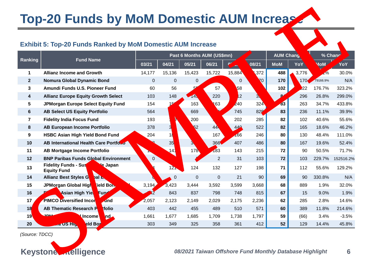# **Top-20 Funds by MoM Domestic AUM Increase**

#### **Exhibit 5: Top-20 Funds Ranked by MoM Domestic AUM Increase**

| <b>Top-20 Funds by MoM Domestic AUM Increase</b>                                                           |                                                                          |                |                 |             |                |                            |            |                 |            |                |                 |
|------------------------------------------------------------------------------------------------------------|--------------------------------------------------------------------------|----------------|-----------------|-------------|----------------|----------------------------|------------|-----------------|------------|----------------|-----------------|
|                                                                                                            | <b>Exhibit 5: Top-20 Funds Ranked by MoM Domestic AUM Increase</b>       |                |                 |             |                |                            |            |                 |            |                |                 |
| Ranking                                                                                                    | <b>Fund Name</b>                                                         |                |                 |             |                | Past 6 Months AUM (US\$mn) |            | <b>AUM Chan</b> |            | % Chan         |                 |
|                                                                                                            |                                                                          | 03/21          | 04/21           | 05/21       | 06/21          |                            | 08/21      | <b>MoM</b>      | ΥοΥ        | <b>MoM</b>     | YoY             |
| $\mathbf 1$                                                                                                | <b>Allianz Income and Growth</b>                                         | 14,177         | 15,136          | 15,423      | 15,722         | 15,884                     | 1,372      | 488             | ,776       | $\sqrt{2/6}$   | 30.0%           |
| $\overline{2}$                                                                                             | Nomura Global Dynamic Bond                                               | $\overline{0}$ | 0               | 0           |                | $\overline{0}$             | 70         | 170             | 170        | 79166.9%       | N/A             |
| 3                                                                                                          | Amundi Funds U.S. Pioneer Fund                                           | 60             | 56              |             | 57             | 58                         |            | 102             | 22         | 176.7%         | 323.2%          |
| 4                                                                                                          | <b>Allianz Europe Equity Growth Select</b>                               | 103            | 148             | <b>14</b>   | 220            | $\sqrt{12}$                |            | 84              | 296        | 26.8%          | 299.0%          |
| 5                                                                                                          | JPMorgan Europe Select Equity Fund                                       | 154<br>564     |                 | 163         | 163            | 240                        | 324<br>828 | 83<br>83        | 263<br>236 | 34.7%<br>11.1% | 433.8%<br>39.9% |
| 6<br>$\overline{7}$                                                                                        | <b>AB Select US Equity Portfolio</b><br><b>Fidelity India Focus Fund</b> | 193            | N               | 669<br>200  |                | 745<br>202                 | 285        | 82              | 102        | 40.6%          | 55.6%           |
| 8                                                                                                          | <b>AB European Income Portfolio</b>                                      | 378            |                 | 52          | 44             | 440                        | 522        | 82              | 165        | 18.6%          | 46.2%           |
| 9                                                                                                          | <b>HSBC Asian High Yield Bond Fund</b>                                   | 204            | 11              |             | 167            | 166                        | 246        | 80              | 130        | 48.4%          | 111.0%          |
| 10                                                                                                         | AB International Health Care Portforo                                    |                | 35              |             | 366            | 407                        | 486        | 80              | 167        | 19.6%          | 52.4%           |
| 11                                                                                                         | <b>AB Mortgage Income Portfolio</b>                                      |                | 14              | 178         | 183            | 143                        | 215        | 72              | 90         | 50.5%          | 71.7%           |
| 12                                                                                                         | <b>BNP Paribas Funds Global Environment</b>                              | 0              |                 |             | $\overline{2}$ | 31                         | 103        | 72              | 103        | 229.7%         | 152516.2%       |
| 13                                                                                                         | <b>Fidelity Funds - Sust</b><br>ble Japan<br><b>Equity Fund</b>          |                | 12 <sub>n</sub> | 124         | 132            | 127                        | 198        | 71              | 112        | 55.6%          | 129.2%          |
| 14                                                                                                         | <b>Allianz Best Styles Glo</b><br><b>PL</b>                              |                | $\pmb{0}$       | $\mathbf 0$ | $\mathbf 0$    | 21                         | 90         | 69              | 90         | 330.8%         | N/A             |
| 15                                                                                                         | JPM organ Global High<br><b>ield Bong</b>                                | 3,194          | 3,423           | 3,444       | 3,592          | 3,599                      | 3,668      | 68              | 889        | 1.9%           | 32.0%           |
| 16                                                                                                         | <b>Asian High Yiel</b><br>Fund                                           |                | 843             | 837         | 798            | 748                        | 815        | 67              | 15         | 9.0%           | 1.9%            |
| 17 <sub>1</sub>                                                                                            | <b>PIMCOL</b> versified Incon<br><b>und</b>                              | 2,057          | 2,123           | 2,149       | 2,029          | 2,175                      | 2,236      | 62              | 285        | 2.8%           | 14.6%           |
| 18                                                                                                         | <b>AB Thematic Research P</b><br>tfolio                                  | 403            | 442             | 455         | 489            | 510                        | 571        | 60              | 389        | 11.8%          | 214.6%          |
| 19 <sup>°</sup>                                                                                            | <mark>el</mark> Income<br><b>Ind</b>                                     | 1,661          | 1,677           | 1,685       | 1,709          | 1,738                      | 1,797      | 59              | (66)       | 3.4%           | $-3.5%$         |
| 20                                                                                                         | eld Bo                                                                   | 303            | 349             | 325         | 358            | 361                        | 412        | 52              | 129        | 14.4%          | 45.8%           |
| (Source: TDCC)<br>ntelligence<br><b>Keyston</b><br>08/2021 Taiwan Offshore Fund Monthly Database Highlight |                                                                          |                |                 |             |                |                            |            |                 | 6          |                |                 |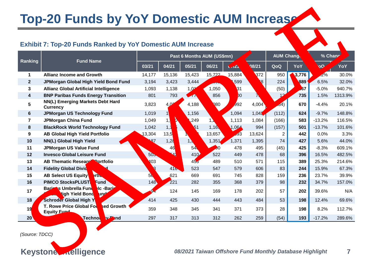## **Top-20 Funds by YoY Domestic AUM Increase**

## **Exhibit 7: Top-20 Funds Ranked by YoY Domestic AUM Increase**

| <b>Top-20 Funds by YoY Domestic AUM Increase</b> |                                                                                    |                 |                   |                 |                |                                                         |                |                |                            |           |         |
|--------------------------------------------------|------------------------------------------------------------------------------------|-----------------|-------------------|-----------------|----------------|---------------------------------------------------------|----------------|----------------|----------------------------|-----------|---------|
|                                                  | <b>Exhibit 7: Top-20 Funds Ranked by YoY Domestic AUM Increase</b>                 |                 |                   |                 |                |                                                         |                |                |                            |           |         |
|                                                  | Past 6 Months AUM (US\$mn)                                                         |                 |                   |                 |                |                                                         |                |                | <b>AUM Chang</b><br>% Chan |           |         |
| Ranking                                          | <b>Fund Name</b>                                                                   | 03/21           | 04/21             | 05/21           | 06/21          | J12                                                     | 08/21          | QoQ            | YoY                        | <b>OO</b> | YoY     |
| 1                                                | <b>Allianz Income and Growth</b>                                                   | 14,177          | 15,136            | 15,423          | 15,722         | 15,884                                                  | 372            | 950            | 776                        | 2%        | 30.0%   |
| $\mathbf{2}$                                     | JPMorgan Global High Yield Bond Fund                                               | 3,194           | 3,423             | 3,444           | AND,           | 599                                                     | $\mathbf{S}^2$ | 224            | 89                         | 6.5%      | 32.0%   |
| 3                                                | <b>Allianz Global Artificial Intelligence</b>                                      | 1,093           | 1,138             | 1,0             | 1,050          | <b>B</b> 1                                              |                | (50)           | $\overline{67}$            | $-5.0%$   | 940.7%  |
| 4                                                | <b>BNP Paribas Funds Energy Transition</b>                                         | 801             | 793               | $\sqrt{2}$      | 856            | $00\,$                                                  |                | 12             | 735                        | 1.5%      | 1313.9% |
| 5                                                | NN(L) Emerging Markets Debt Hard<br><b>Currency</b>                                | 3,823           | 4 P               | 4,188           | Q80            | 3,992                                                   | 4,004          | 64)            | 670                        | $-4.4%$   | 20.1%   |
| 6                                                | <b>JPMorgan US Technology Fund</b>                                                 | 1,019           |                   | 1,156           |                | 1,094                                                   | 1,042          | (112)          | 624                        | $-9.7%$   | 148.8%  |
| $\overline{\mathbf{r}}$                          | <b>JPMorgan China Fund</b>                                                         | 1,049           | Ø.                | ,249            |                | 1,113                                                   | 1,084          | (166)          | 583                        | $-13.2%$  | 116.5%  |
| 8                                                | <b>BlackRock World Technology Fund</b>                                             | 1,042           | $1,$ <sup>1</sup> | $\sqrt{51}$     | 1,16           | 1,064                                                   | 994            | (157)          | 501                        | $-13.7%$  | 101.6%  |
| 9                                                | <b>AB Global High Yield Portfolio</b>                                              | 13,304          | 13,5              |                 | 13,657         | 593                                                     | 13,624         | $\overline{2}$ | 442                        | 0.0%      | 3.3%    |
| 10                                               | NN(L) Global High Yield                                                            | B7              | 1,2               | 1,              | 1,351          | 1,371                                                   | 1,395          | 74             | 427                        | 5.6%      | 44.0%   |
| 11                                               | <b>JPMorgan US Value Fund</b>                                                      |                 | 46                | 54              | $\mathcal{A}0$ | 478                                                     | 495            | (45)           | 425                        | $-8.3%$   | 609.1%  |
| 12                                               | <b>Invesco Global Leisure Fund</b>                                                 | 50 <sub>5</sub> | $\mathbf{A}$      | 410             | 522            | 449                                                     | 478            | 68             | 396                        | 16.5%     | 482.5%  |
| 13                                               | <b>AB Thematic ResearCh Portfolio</b>                                              | 403             |                   | 45 <sub>o</sub> | 489            | 510                                                     | 571            | 115            | 389                        | 25.3%     | 214.6%  |
| 14                                               | <b>Fidelity Global Divide</b>                                                      | <b>13</b>       | 41 <b>b</b>       | 523             | 547            | 579                                                     | 606            | 83             | 244                        | 15.9%     | 67.3%   |
| 15                                               | <b>AB Select US Equity R</b><br>Ъ.                                                 | 5 <sub>l</sub>  | 621               | 669             | 691            | 745                                                     | 828            | 159            | 236                        | 23.7%     | 39.9%   |
| 16                                               | <b>PIMCO StocksPLUSTN</b><br><b>und</b>                                            | 148             | 221               | 282             | 355            | 368                                                     | 379            | 98             | 232                        | 34.7%     | 157.0%  |
| 17                                               | <b>Nos Umbrella Fund</b><br><b>C-Barip</b><br><b>Bar</b><br>High Yield Bond<br>und |                 | 124               | 145             | 169            | 178                                                     | 202            | 57             | 202                        | 39.6%     | N/A     |
| 18 <sub>1</sub>                                  | Schroad Global High Yi                                                             | 414             | 425               | 430             | 444            | 443                                                     | 484            | 53             | 198                        | 12.4%     | 69.6%   |
| 19                                               | <b>T. Rowe Price Global Fod</b><br>sed Growth<br><b>Equity Fund</b>                | 359             | 348               | 345             | 341            | 371                                                     | 373            | 28             | 198                        | 8.2%      | 112.7%  |
| 20 <sup>7</sup>                                  | <b>W</b> Fund<br>Techno                                                            | 297             | 317               | 313             | 312            | 262                                                     | 259            | (54)           | 193                        | $-17.2%$  | 289.6%  |
| (Source: TDCC)                                   |                                                                                    |                 |                   |                 |                | 08/2021 Taiwan Offshore Fund Monthly Database Highlight |                |                |                            |           |         |
| <b>Keyston</b>                                   | <b>ntelligence</b>                                                                 |                 |                   |                 |                |                                                         |                |                |                            |           | 7       |

**Keyston Intelligence** *08/2021 Taiwan Offshore Fund Monthly Database Highlight* 7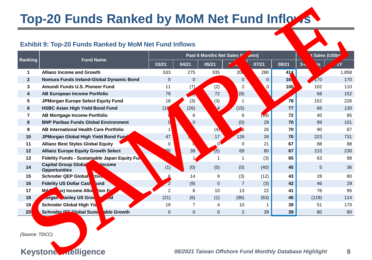# **Top-20 Funds Ranked by MoM Net Fund Inflows**

## **Exhibit 9: Top-20 Funds Ranked by MoM Net Fund Inflows**

| <b>Top-20 Funds Ranked by MoM Net Fund Inflows</b> |                                                                               |                |                          |                           |                |                |                  |                                                         |           |  |  |
|----------------------------------------------------|-------------------------------------------------------------------------------|----------------|--------------------------|---------------------------|----------------|----------------|------------------|---------------------------------------------------------|-----------|--|--|
|                                                    | <b>Exhibit 9: Top-20 Funds Ranked by MoM Net Fund Inflows</b>                 |                |                          |                           |                |                |                  |                                                         |           |  |  |
| Ranking                                            | <b>Fund Name</b>                                                              |                |                          | Past 6 Months Net Sales " |                | <i>s</i> mn)   |                  | : Sales (US\$ <mark>r</mark>                            |           |  |  |
|                                                    |                                                                               | 03/21          | 04/21                    | 05/21                     |                | 07/21          | 08/21            | าร                                                      | 1Y        |  |  |
| $\mathbf 1$                                        | <b>Allianz Income and Growth</b>                                              | 533            | 275                      | 335                       | 2 <sub>b</sub> | 280            | 414 <sub>1</sub> |                                                         | 1,858     |  |  |
| 2 <sup>2</sup>                                     | Nomura Funds Ireland-Global Dynamic Bond                                      | $\Omega$       | 0                        |                           | $\mathbf{0}$   | $\overline{0}$ | 169              | 170                                                     | 170       |  |  |
| 3                                                  | Amundi Funds U.S. Pioneer Fund                                                | 11             | (7)                      | (2)                       | $\overline{2}$ | 0              | 100              | 102                                                     | 110       |  |  |
| 4                                                  | <b>AB European Income Portfolio</b>                                           | 79             | $\overline{\phantom{a}}$ | 72                        | (8)            |                |                  | 68                                                      | 152       |  |  |
| 5                                                  | JPMorgan Europe Select Equity Fund                                            | 18             | (3)                      | (3)                       | $\mathbf 1$    |                | 78<br>77         | 152                                                     | 226       |  |  |
| 6<br>7                                             | <b>HSBC Asian High Yield Bond Fund</b><br><b>AB Mortgage Income Portfolio</b> | (1)            | (26)                     |                           | (15)<br>6      | 59)            | 72               | 66<br>40                                                | 130<br>85 |  |  |
| 8                                                  | <b>BNP Paribas Funds Global Environment</b>                                   |                | 6<br>$\mathbf{0}$        |                           | (0)            | 29             | 70               | 99                                                      | 101       |  |  |
| 9                                                  | AB International Health Care Portfolio                                        |                |                          | (4)                       | 5)             | 26             | 70               | 90                                                      | 87        |  |  |
| 10                                                 | JPMorgan Global High Yield Bond Fun                                           | 47             |                          | 17                        | 126            | 26             | 70               | 223                                                     | 731       |  |  |
| 11                                                 | <b>Allianz Best Styles Global Equity</b>                                      | $\Omega$       |                          |                           | 0              | 21             | 67               | 88                                                      | 88        |  |  |
| 12                                                 | <b>Allianz Europe Equity Growth Select</b>                                    | <b>PP</b>      | 39 <sup>2</sup>          | (5)                       | 69             | 80             | 67               | 215                                                     | 230       |  |  |
| 13                                                 | Fidelity Funds - Sustainable Japan Equity Fun                                 |                |                          | 1                         | 1              | (3)            | 65               | 63                                                      | 88        |  |  |
| 14                                                 | <b>Capital Group Global</b><br><b>h</b> Income<br><b>Opportunities</b>        | (1)            | (0)                      | (0)                       | (0)            | (40)           | 45               | 5                                                       | 36        |  |  |
| 15                                                 | Schroder QEP Global<br>T.                                                     | 6              | 14                       | 9                         | (3)            | (12)           | 43               | 28                                                      | 80        |  |  |
| 16                                                 | <b>Fidelity US Dollar Cash</b><br>und                                         | $\mathbf{2}$   | (9)                      | $\mathbf{0}$              | $\overline{7}$ | (3)            | 42               | 46                                                      | 29        |  |  |
| 17                                                 | ux) Income Alloc<br>M&C<br>ion Fur                                            | $\overline{2}$ | 8                        | 10                        | 13             | 22             | 41               | 76                                                      | 95        |  |  |
| 18                                                 | worgan tanley US Grow<br>$\blacktriangledown$<br><b>Ad</b>                    | (21)           | (6)                      | (1)                       | (96)           | (63)           | 40               | (119)                                                   | 114       |  |  |
| 19/                                                | <b>Schroder Global High Yie</b>                                               | 19             | $\overline{7}$           | 4                         | 10             |                | 39               | 51                                                      | 170       |  |  |
| 20 <sub>l</sub>                                    | <b>Schroder ISF Global Susta</b><br>able Growth                               | 0              | 0                        | 0                         | $\overline{c}$ | 39             | 39               | 80                                                      | 80        |  |  |
| (Source: TDCC)<br><b>Keyston</b>                   | ntelligence                                                                   |                |                          |                           |                |                |                  | 08/2021 Taiwan Offshore Fund Monthly Database Highlight | 8         |  |  |

**Keyston Intelligence** *08/2021 Taiwan Offshore Fund Monthly Database Highlight* 8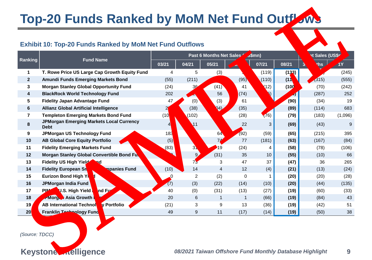# **Top-20 Funds Ranked by MoM Net Fund Outflows**

## **Exhibit 10: Top-20 Funds Ranked by MoM Net Fund Outflows**

| <b>Top-20 Funds Ranked by MoM Net Fund Outflows</b> |                                                                                                |       |                   |                         |              |         |       |                                                         |                 |  |  |
|-----------------------------------------------------|------------------------------------------------------------------------------------------------|-------|-------------------|-------------------------|--------------|---------|-------|---------------------------------------------------------|-----------------|--|--|
|                                                     | <b>Exhibit 10: Top-20 Funds Ranked by MoM Net Fund Outflows</b>                                |       |                   |                         |              |         |       |                                                         |                 |  |  |
| Ranking                                             | <b>Fund Name</b>                                                                               |       |                   | Past 6 Months Net Sales |              | /S\$mn) |       | et Sales (US\$                                          |                 |  |  |
|                                                     |                                                                                                | 03/21 | 04/21             | 05/21                   |              | 07/21   | 08/21 | ths                                                     | $\overline{1}Y$ |  |  |
| $\mathbf 1$                                         | T. Rowe Price US Large Cap Growth Equity Fund                                                  | 4     | 5                 | (3)                     |              | (119)   | (133) |                                                         | (245)           |  |  |
| $\mathbf{2}$                                        | <b>Amundi Funds Emerging Markets Bond</b>                                                      | (55)  | (211)             |                         | (95)         | (110)   | (110) | (315)                                                   | (555)           |  |  |
| 3                                                   | <b>Morgan Stanley Global Opportunity Fund</b>                                                  | (24)  | 30                | (41)                    | 41           | (12)    | (10)  | (70)                                                    | (242)           |  |  |
| 4                                                   | <b>BlackRock World Technology Fund</b>                                                         | 202   |                   | 56                      | (74)         |         |       | (287)                                                   | 252             |  |  |
| 5                                                   | <b>Fidelity Japan Advantage Fund</b>                                                           | 47    | (0)               | (3)                     | 61           |         | (90)  | (34)                                                    | 19              |  |  |
| 6                                                   | <b>Allianz Global Artificial Intelligence</b>                                                  |       | (38)              | $\Omega$                | (35)         |         | (89)  | (114)                                                   | 683             |  |  |
| $\overline{7}$                                      | <b>Templeton Emerging Markets Bond Fund</b><br><b>JPMorgan Emerging Markets Local Currency</b> | (10)  | (102)             |                         | (28)         | (76)    | (79)  | (183)                                                   | (1,096)         |  |  |
| 8                                                   | <b>Debt</b>                                                                                    |       | $\sqrt{11}$       |                         | 22           | 3       | (69)  | (43)                                                    | 9               |  |  |
| 9                                                   | JPMorgan US Technology Fund                                                                    | 183   |                   | 64                      | (92)         | (59)    | (65)  | (215)                                                   | 395             |  |  |
| 10                                                  | <b>AB Global Core Equity Portfolio</b>                                                         | (5)   |                   | 74                      | 77           | (181)   | (63)  | (167)                                                   | (84)            |  |  |
| 11                                                  | <b>Fidelity Emerging Markets Fund</b>                                                          | (83)  | $3\sqrt{ }$       | 19                      | (24)         | 4       | (58)  | (78)                                                    | (106)           |  |  |
| 12                                                  | Morgan Stanley Global Convertible Bond Fu.                                                     |       | $\vert 9 \rangle$ | (31)                    | 35           | 10      | (55)  | (10)                                                    | 66              |  |  |
| 13                                                  | Fidelity US High Yield Sund                                                                    |       | 73                | 3                       | 47           | 37      | (47)  | 36                                                      | 265             |  |  |
| 14                                                  | <b>Fidelity European Sm.</b><br>mpanies Fund                                                   | (10)  | 14                | $\overline{4}$          | 12           | (4)     | (21)  | (13)                                                    | (24)            |  |  |
| 15                                                  | Eurizon Bond High Yie                                                                          | 0     | $\overline{2}$    | (2)                     | $\Omega$     |         | (20)  | (20)                                                    | (28)            |  |  |
| 16                                                  | JPMorgan India Fund                                                                            | (7)   | (3)               | (22)                    | (14)         | (10)    | (20)  | (44)                                                    | (135)           |  |  |
| 17                                                  | <b>U.S. High Yield L</b><br>nd Fur<br><b>PIM</b>                                               | 40    | (0)               | (31)                    | (13)         | (27)    | (19)  | (60)                                                    | (33)            |  |  |
| 18                                                  | <b>JPMOL, A Asia Growth F</b>                                                                  | 20    | 6                 | $\mathbf{1}$            | $\mathbf{1}$ | (66)    | (19)  | (84)                                                    | 43              |  |  |
| 19/                                                 | <b>AB International Technol</b><br><b>V</b> Portfolio                                          | (21)  | 3                 | 9                       | 13           | (36)    | (19)  | (42)                                                    | 51              |  |  |
| 20                                                  | <b>Franklin Technology Fund</b>                                                                | 49    | 9                 | 11                      | (17)         | (14)    | (19)  | (50)                                                    | 38              |  |  |
| (Source: TDCC)<br><b>Keyston</b>                    | ntelligence                                                                                    |       |                   |                         |              |         |       | 08/2021 Taiwan Offshore Fund Monthly Database Highlight | 9               |  |  |
|                                                     |                                                                                                |       |                   |                         |              |         |       |                                                         |                 |  |  |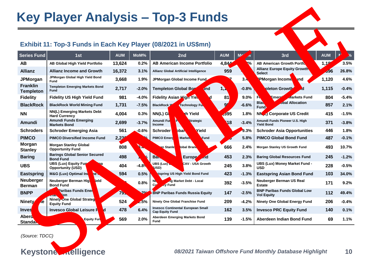## **Key Player Analysis – Top-3 Funds**

## **Exhibit 11: Top-3 Funds in Each Key Player (08/2021 in US\$mn)**

|                                     |                                                                           |            |                            | <b>Key Player Analysis - Top-3 Funds</b>                            |            |                                         |                                                          |            |         |
|-------------------------------------|---------------------------------------------------------------------------|------------|----------------------------|---------------------------------------------------------------------|------------|-----------------------------------------|----------------------------------------------------------|------------|---------|
|                                     | Exhibit 11: Top-3 Funds in Each Key Player (08/2021 in US\$mn)            |            |                            |                                                                     |            |                                         |                                                          |            |         |
| <b>Series Fund</b>                  | 1st                                                                       | <b>AUM</b> | MoM%                       | 2nd                                                                 | <b>AUM</b> | M<br>$\frac{\partial}{\partial \theta}$ | 3rd                                                      | <b>AUM</b> | $\chi$  |
| AB                                  | AB Global High Yield Portfolio                                            | 13,624     | 0.2%                       | <b>AB American Income Portfolio</b>                                 | 4,84       | <b>R%</b>                               | <b>AB American Growth Porth</b>                          | 1,18       | 3.5%    |
| <b>Allianz</b>                      | <b>Allianz Income and Growth</b>                                          | 16,372     | 3.1%                       | Allianz Global Artificial Intelligence                              | 959        |                                         | <b>Allianz Europe Equity Growth</b><br><b>Select</b>     | 596        | 26.8%   |
| <b>JPMorgan</b>                     | JPMorgan Global High Yield Bond<br>Fund                                   | 3,668      | 1.9%                       | JPMorgan Global Income Fund                                         |            | $3\sqrt{ }$                             | <b>NPMorgan Income F</b><br>hd                           | 1,120      | 4.6%    |
| <b>Franklin</b><br><b>Templeton</b> | <b>Templeton Emerging Markets Bond</b><br><b>Fund</b>                     | 2,717      | $-2.0%$                    | Templeton Global Bor<br>und                                         | 1, 1       | $-0.8%$                                 | pleton Growth<br>۸đ                                      | 1,115      | $-0.4%$ |
| <b>Fidelity</b>                     | <b>Fidelity US High Yield Fund</b>                                        | 981        | $-4.0%$                    | <b>Fidelity Asian High Yie</b>                                      | 81         | 9.0%                                    | Emerci<br><b>Markets Fund</b>                            | 804        | $-5.4%$ |
| <b>BlackRock</b>                    | <b>BlackRock World Mining Fund</b>                                        | 1,731      | $-7.5%$                    | <b>BlackRock</b><br>Technology Fu                                   |            | $-6.6%$                                 | <b>BIA</b><br>obal Allocation<br>Fund                    | 857        | 2.1%    |
| <b>NN</b>                           | NN(L) Emerging Markets Debt<br><b>Hard Currency</b>                       | 4,004      | 0.3%                       | NN(L) G<br>ıh Yield                                                 | ,395       | 1.8%                                    | NM <sub>L</sub> Corporate US Credit                      | 415        | $-1.5%$ |
| <b>Amundi</b>                       | <b>Amundi Funds Emerging</b><br><b>Markets Bond</b>                       | 2,699      | $-3.7%$                    | Amundi Ful<br>Strategic<br>Income                                   | 18         | $-3.4%$                                 | Amundi Funds Pioneer U.S. High<br><b>Yield Bond</b>      | 371        | $-3.8%$ |
| <b>Schroders</b>                    | <b>Schroder Emerging Asia</b>                                             | 561        | $-0.6%$                    | Yield<br>Schroder<br>oba.                                           |            | 9.3%                                    | <b>Schroder Asia Opportunities</b>                       | 446        | 1.8%    |
| <b>PIMCO</b>                        | <b>PIMCO Diversified Income Fund</b>                                      | 2,22       | $\mathcal{L}_{\mathbf{G}}$ | <b>PIMCO Emerg</b><br><b>Market</b><br>Fund                         |            | 5.8%                                    | <b>PIMCO Global Bond Fund</b>                            | 487        | $-0.1%$ |
| <b>Morgan</b><br><b>Stanley</b>     | <b>Morgan Stanley Global</b><br><b>Opportunity Fund</b>                   | 808        |                            | lobal Bran<br>an Stanle <mark>l</mark>                              | 666        | 2.4%                                    | Morgan Stanley US Growth Fund                            | 493        | 10.7%   |
| <b>Baring</b>                       | <b>Barings Global Senior Secured</b><br><b>Bond Fund</b>                  | 498        | %                          | Ba.<br><b>Europe</b><br>$\sqrt{d}$                                  | 453        | 2.3%                                    | <b>Baring Global Resources Fund</b>                      | 245        | $-1.2%$ |
| <b>UBS</b>                          | <b>UBS (Lux) Equity Fund</b><br><b>Ab</b> ina<br><b>Opportunity (USD)</b> | 404        | $-4.8$                     | UBS (Lux)<br>CAV - USA Growth<br>(USD)                              | 245        | 3.8%                                    | UBS (Lux) Money Market Fund -<br><b>USD</b>              | 228        | $-0.5%$ |
| <b>Eastspring</b>                   | M&G (Lux) Optimal Inco                                                    | 594        | 0.5%                       | stspring US High Yield Bond Fund                                    | 423        | $-1.3%$                                 | <b>Eastspring Asian Bond Fund</b>                        | 103        | 34.0%   |
| <b>Neuberger</b><br><b>Berman</b>   | Neuberger Berman High<br>eld<br><b>Bond Fund</b>                          |            | 0.8%                       | ng Market Debt - Local<br>cy Fund<br>C)                             | 392        | $-3.5%$                                 | <b>Neuberger Berman US Real</b><br><b>Estate</b>         | 171        | 9.2%    |
| <b>BNPP</b>                         | <b>Paribas Funds Enerd</b><br>tion                                        | 75.        |                            | <b>BNP Paribas Funds Russia Equity</b>                              | 147        | $-2.5%$                                 | <b>BNP Paribas Funds Global Low</b><br><b>Vol Equity</b> | 112        | 49.4%   |
| <b>Ninety</b><br>he                 | <b>The Global Strategi</b><br>Nine.<br><b>Equity Fund</b>                 | 524        | 2.5%                       | Ninety One Global Franchise Fund                                    | 209        | $-4.2%$                                 | Ninety One Global Energy Fund                            | 206        | $-0.4%$ |
| <b>Inves</b>                        | <b>Invesco Global Leisure R</b><br><b>d</b>                               | 478        | $6.4\%$                    | <b>Invesco Continental European Small</b><br><b>Cap Equity Fund</b> | 162        | 3.5%                                    | <b>Invesco PRC Equity Fund</b>                           | 140        | 0.1%    |
| <b>Abero</b><br><b>Standard</b>     | Equity Ful                                                                | 569        | 2.0%                       | Aberdeen Emerging Markets Bond<br><b>Fund</b>                       | 139        | $-1.5%$                                 | Aberdeen Indian Bond Fund                                | 69         | 1.1%    |
| (Source: TDCC)<br><b>Keyston</b>    | ntelligence                                                               |            |                            |                                                                     |            |                                         | 08/2021 Taiwan Offshore Fund Monthly Database Highlight  |            | 10      |
|                                     |                                                                           |            |                            |                                                                     |            |                                         |                                                          |            |         |